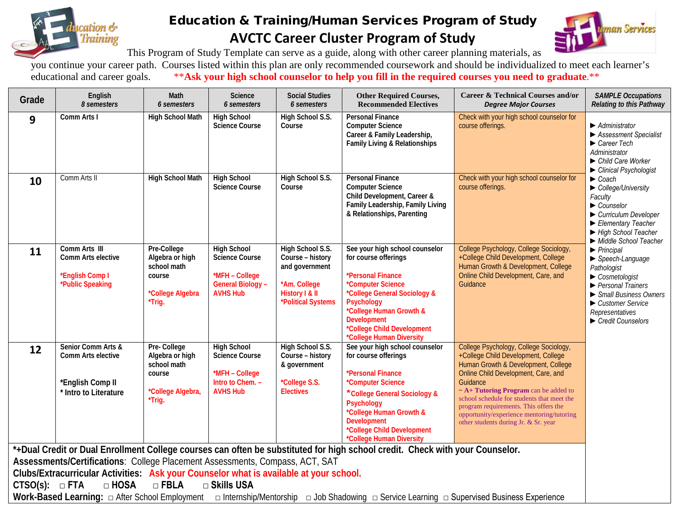

## Education & Training/Human Services Program of Study **AVCTC Career Cluster Program of Study**



This Program of Study Template can serve as a guide, along with other career planning materials, as

you continue your career path. Courses listed within this plan are only recommended coursework and should be individualized to meet each learner's educational and career goals. \*\*Ask your high school counselor to help you \*\*Ask your high school counselor to help you fill in the required courses you need to graduate.\*\*

| Grade                                                                                                                                                                  | English<br>8 semesters                                                                | Math<br>6 semesters                                                                    | Science<br>6 semesters                                                                               | <b>Social Studies</b><br>6 semesters                                                                           | <b>Other Required Courses,</b><br><b>Recommended Electives</b>                                                                                                                                                                                                   | <b>Career &amp; Technical Courses and/or</b><br><b>Degree Major Courses</b>                                                                                                                                                                                                                                                                                                                       | <b>SAMPLE Occupations</b><br>Relating to this Pathway                                                                                                                                                                                                                                                                                                                                                                                                                                                                                                                                                                                                  |  |
|------------------------------------------------------------------------------------------------------------------------------------------------------------------------|---------------------------------------------------------------------------------------|----------------------------------------------------------------------------------------|------------------------------------------------------------------------------------------------------|----------------------------------------------------------------------------------------------------------------|------------------------------------------------------------------------------------------------------------------------------------------------------------------------------------------------------------------------------------------------------------------|---------------------------------------------------------------------------------------------------------------------------------------------------------------------------------------------------------------------------------------------------------------------------------------------------------------------------------------------------------------------------------------------------|--------------------------------------------------------------------------------------------------------------------------------------------------------------------------------------------------------------------------------------------------------------------------------------------------------------------------------------------------------------------------------------------------------------------------------------------------------------------------------------------------------------------------------------------------------------------------------------------------------------------------------------------------------|--|
| 9                                                                                                                                                                      | Comm Arts I                                                                           | High School Math                                                                       | <b>High School</b><br><b>Science Course</b>                                                          | High School S.S.<br>Course                                                                                     | <b>Personal Finance</b><br><b>Computer Science</b><br>Career & Family Leadership,<br>Family Living & Relationships                                                                                                                                               | Check with your high school counselor for<br>course offerings.                                                                                                                                                                                                                                                                                                                                    | Administrator<br>▶ Assessment Specialist<br>$\blacktriangleright$ Career Tech<br>Administrator<br>$\blacktriangleright$ Child Care Worker<br>Clinical Psychologist<br>$\blacktriangleright$ Coach<br>College/University<br>Faculty<br>$\blacktriangleright$ Counselor<br>Curriculum Developer<br>Elementary Teacher<br>High School Teacher<br>Middle School Teacher<br>$\blacktriangleright$ Principal<br>$\blacktriangleright$ Speech-Language<br>Pathologist<br>$\triangleright$ Cosmetologist<br>$\blacktriangleright$ Personal Trainers<br>Small Business Owners<br>Customer Service<br>Representatives<br>$\blacktriangleright$ Credit Counselors |  |
| 10                                                                                                                                                                     | Comm Arts II                                                                          | <b>High School Math</b>                                                                | <b>High School</b><br><b>Science Course</b>                                                          | High School S.S.<br>Course                                                                                     | <b>Personal Finance</b><br><b>Computer Science</b><br>Child Development, Career &<br>Family Leadership, Family Living<br>& Relationships, Parenting                                                                                                              | Check with your high school counselor for<br>course offerings.                                                                                                                                                                                                                                                                                                                                    |                                                                                                                                                                                                                                                                                                                                                                                                                                                                                                                                                                                                                                                        |  |
| 11                                                                                                                                                                     | Comm Arts III<br>Comm Arts elective<br>*English Comp I<br>*Public Speaking            | Pre-College<br>Algebra or high<br>school math<br>course<br>*College Algebra<br>*Trig.  | <b>High School</b><br>Science Course<br>*MFH - College<br>General Biology -<br><b>AVHS Hub</b>       | High School S.S.<br>Course - history<br>and government<br>*Am. College<br>History I & II<br>*Political Systems | See your high school counselor<br>for course offerings<br>*Personal Finance<br>*Computer Science<br>*College General Sociology &<br><b>Psychology</b><br>*College Human Growth &<br><b>Development</b><br>*College Child Development<br>*College Human Diversity | College Psychology, College Sociology,<br>+College Child Development, College<br>Human Growth & Development, College<br>Online Child Development, Care, and<br>Guidance                                                                                                                                                                                                                           |                                                                                                                                                                                                                                                                                                                                                                                                                                                                                                                                                                                                                                                        |  |
| 12                                                                                                                                                                     | Senior Comm Arts &<br>Comm Arts elective<br>*English Comp II<br>* Intro to Literature | Pre-College<br>Algebra or high<br>school math<br>course<br>*College Algebra,<br>*Trig. | <b>High School</b><br><b>Science Course</b><br>*MFH - College<br>Intro to Chem. -<br><b>AVHS Hub</b> | High School S.S.<br>Course - history<br>& government<br>*College S.S.<br><b>Electives</b>                      | See your high school counselor<br>for course offerings<br>*Personal Finance<br>*Computer Science<br>*College General Sociology &<br>Psychology<br>*College Human Growth &<br><b>Development</b><br>*College Child Development<br>*College Human Diversity        | College Psychology, College Sociology,<br>+College Child Development, College<br>Human Growth & Development, College<br>Online Child Development, Care, and<br>Guidance<br>$\sim$ A+ Tutoring Program can be added to<br>school schedule for students that meet the<br>program requirements. This offers the<br>opportunity/experience mentoring/tutoring<br>other students during Jr. & Sr. year |                                                                                                                                                                                                                                                                                                                                                                                                                                                                                                                                                                                                                                                        |  |
| *+Dual Credit or Dual Enrollment College courses can often be substituted for high school credit. Check with your Counselor.                                           |                                                                                       |                                                                                        |                                                                                                      |                                                                                                                |                                                                                                                                                                                                                                                                  |                                                                                                                                                                                                                                                                                                                                                                                                   |                                                                                                                                                                                                                                                                                                                                                                                                                                                                                                                                                                                                                                                        |  |
| Assessments/Certifications: College Placement Assessments, Compass, ACT, SAT<br>Clubs/Extracurricular Activities: Ask your Counselor what is available at your school. |                                                                                       |                                                                                        |                                                                                                      |                                                                                                                |                                                                                                                                                                                                                                                                  |                                                                                                                                                                                                                                                                                                                                                                                                   |                                                                                                                                                                                                                                                                                                                                                                                                                                                                                                                                                                                                                                                        |  |
| $\Box$ FBLA<br>$\Box$ HOSA<br>□ Skills USA<br>CTSO(s): $\Box$ FTA                                                                                                      |                                                                                       |                                                                                        |                                                                                                      |                                                                                                                |                                                                                                                                                                                                                                                                  |                                                                                                                                                                                                                                                                                                                                                                                                   |                                                                                                                                                                                                                                                                                                                                                                                                                                                                                                                                                                                                                                                        |  |
|                                                                                                                                                                        |                                                                                       |                                                                                        |                                                                                                      |                                                                                                                |                                                                                                                                                                                                                                                                  |                                                                                                                                                                                                                                                                                                                                                                                                   |                                                                                                                                                                                                                                                                                                                                                                                                                                                                                                                                                                                                                                                        |  |